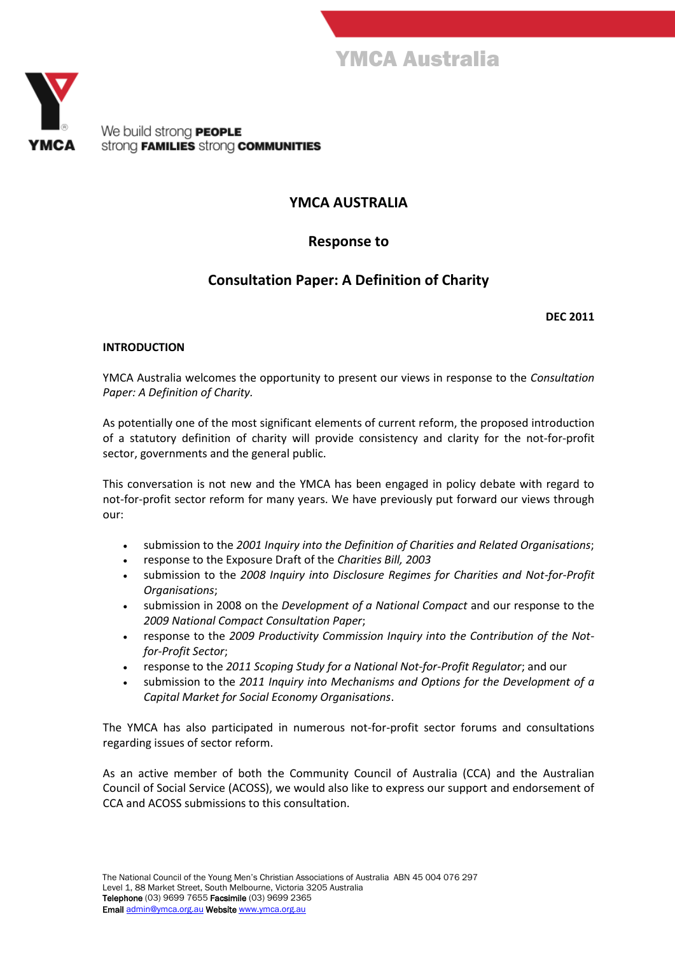



We build strong **PEOPLE** strong **FAMILIES** strong **COMMUNITIES** 

# **YMCA AUSTRALIA**

# **Response to**

# **Consultation Paper: A Definition of Charity**

**DEC 2011**

### **INTRODUCTION**

YMCA Australia welcomes the opportunity to present our views in response to the *Consultation Paper: A Definition of Charity.*

As potentially one of the most significant elements of current reform, the proposed introduction of a statutory definition of charity will provide consistency and clarity for the not-for-profit sector, governments and the general public.

This conversation is not new and the YMCA has been engaged in policy debate with regard to not-for-profit sector reform for many years. We have previously put forward our views through our:

- submission to the *2001 Inquiry into the Definition of Charities and Related Organisations*;
- response to the Exposure Draft of the *Charities Bill, 2003*
- submission to the *2008 Inquiry into Disclosure Regimes for Charities and Not-for-Profit Organisations*;
- submission in 2008 on the *Development of a National Compact* and our response to the *2009 National Compact Consultation Paper*;
- response to the *2009 Productivity Commission Inquiry into the Contribution of the Notfor-Profit Sector*;
- response to the *2011 Scoping Study for a National Not-for-Profit Regulator*; and our
- submission to the *2011 Inquiry into Mechanisms and Options for the Development of a Capital Market for Social Economy Organisations*.

The YMCA has also participated in numerous not-for-profit sector forums and consultations regarding issues of sector reform.

As an active member of both the Community Council of Australia (CCA) and the Australian Council of Social Service (ACOSS), we would also like to express our support and endorsement of CCA and ACOSS submissions to this consultation.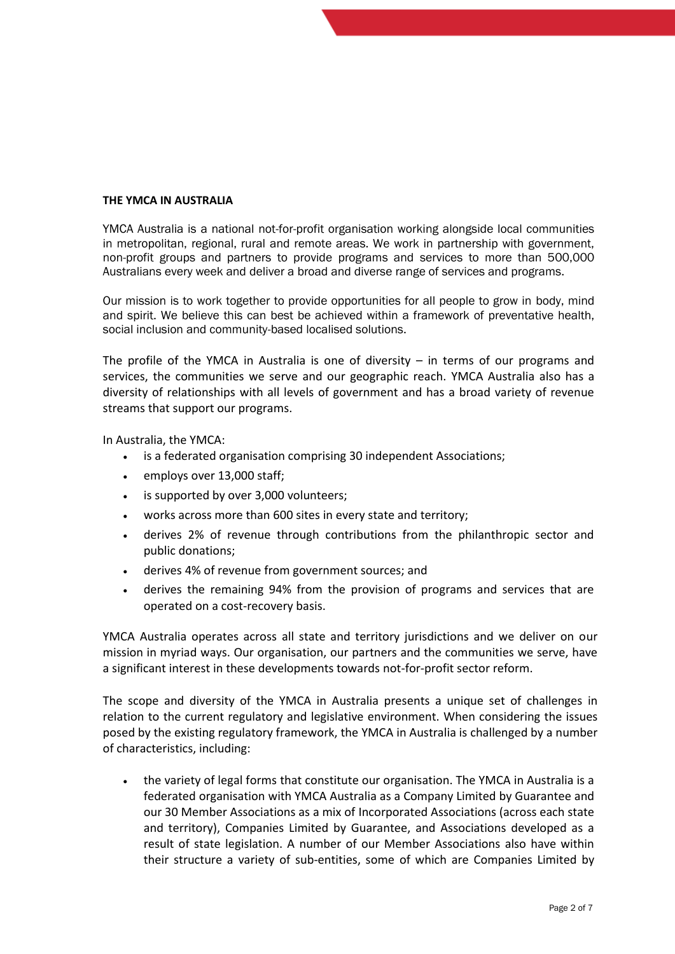#### **THE YMCA IN AUSTRALIA**

YMCA Australia is a national not-for-profit organisation working alongside local communities in metropolitan, regional, rural and remote areas. We work in partnership with government, non-profit groups and partners to provide programs and services to more than 500,000 Australians every week and deliver a broad and diverse range of services and programs.

Our mission is to work together to provide opportunities for all people to grow in body, mind and spirit. We believe this can best be achieved within a framework of preventative health, social inclusion and community-based localised solutions.

The profile of the YMCA in Australia is one of diversity  $-$  in terms of our programs and services, the communities we serve and our geographic reach. YMCA Australia also has a diversity of relationships with all levels of government and has a broad variety of revenue streams that support our programs.

In Australia, the YMCA:

- is a federated organisation comprising 30 independent Associations;
- employs over 13,000 staff;
- is supported by over 3,000 volunteers;
- works across more than 600 sites in every state and territory;
- derives 2% of revenue through contributions from the philanthropic sector and public donations;
- derives 4% of revenue from government sources; and
- derives the remaining 94% from the provision of programs and services that are operated on a cost-recovery basis.

YMCA Australia operates across all state and territory jurisdictions and we deliver on our mission in myriad ways. Our organisation, our partners and the communities we serve, have a significant interest in these developments towards not-for-profit sector reform.

The scope and diversity of the YMCA in Australia presents a unique set of challenges in relation to the current regulatory and legislative environment. When considering the issues posed by the existing regulatory framework, the YMCA in Australia is challenged by a number of characteristics, including:

 the variety of legal forms that constitute our organisation. The YMCA in Australia is a federated organisation with YMCA Australia as a Company Limited by Guarantee and our 30 Member Associations as a mix of Incorporated Associations (across each state and territory), Companies Limited by Guarantee, and Associations developed as a result of state legislation. A number of our Member Associations also have within their structure a variety of sub‐entities, some of which are Companies Limited by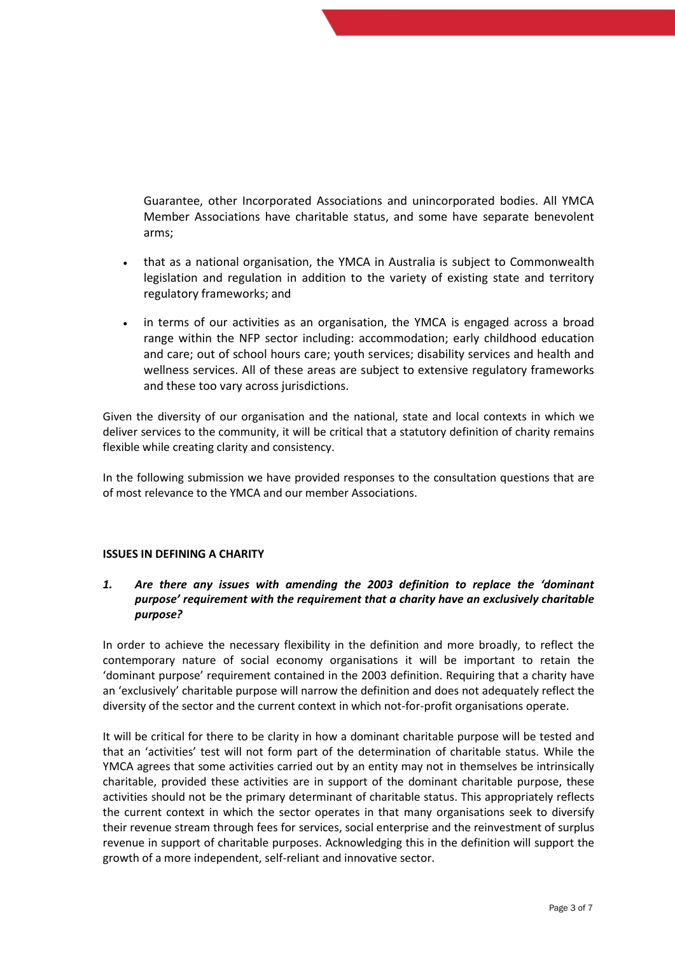Guarantee, other Incorporated Associations and unincorporated bodies. All YMCA Member Associations have charitable status, and some have separate benevolent arms;

- that as a national organisation, the YMCA in Australia is subject to Commonwealth legislation and regulation in addition to the variety of existing state and territory regulatory frameworks; and
- in terms of our activities as an organisation, the YMCA is engaged across a broad range within the NFP sector including: accommodation; early childhood education and care; out of school hours care; youth services; disability services and health and wellness services. All of these areas are subject to extensive regulatory frameworks and these too vary across jurisdictions.

Given the diversity of our organisation and the national, state and local contexts in which we deliver services to the community, it will be critical that a statutory definition of charity remains flexible while creating clarity and consistency.

In the following submission we have provided responses to the consultation questions that are of most relevance to the YMCA and our member Associations.

#### **ISSUES IN DEFINING A CHARITY**

## *1. Are there any issues with amending the 2003 definition to replace the 'dominant purpose' requirement with the requirement that a charity have an exclusively charitable purpose?*

In order to achieve the necessary flexibility in the definition and more broadly, to reflect the contemporary nature of social economy organisations it will be important to retain the 'dominant purpose' requirement contained in the 2003 definition. Requiring that a charity have an 'exclusively' charitable purpose will narrow the definition and does not adequately reflect the diversity of the sector and the current context in which not-for-profit organisations operate.

It will be critical for there to be clarity in how a dominant charitable purpose will be tested and that an 'activities' test will not form part of the determination of charitable status. While the YMCA agrees that some activities carried out by an entity may not in themselves be intrinsically charitable, provided these activities are in support of the dominant charitable purpose, these activities should not be the primary determinant of charitable status. This appropriately reflects the current context in which the sector operates in that many organisations seek to diversify their revenue stream through fees for services, social enterprise and the reinvestment of surplus revenue in support of charitable purposes. Acknowledging this in the definition will support the growth of a more independent, self-reliant and innovative sector.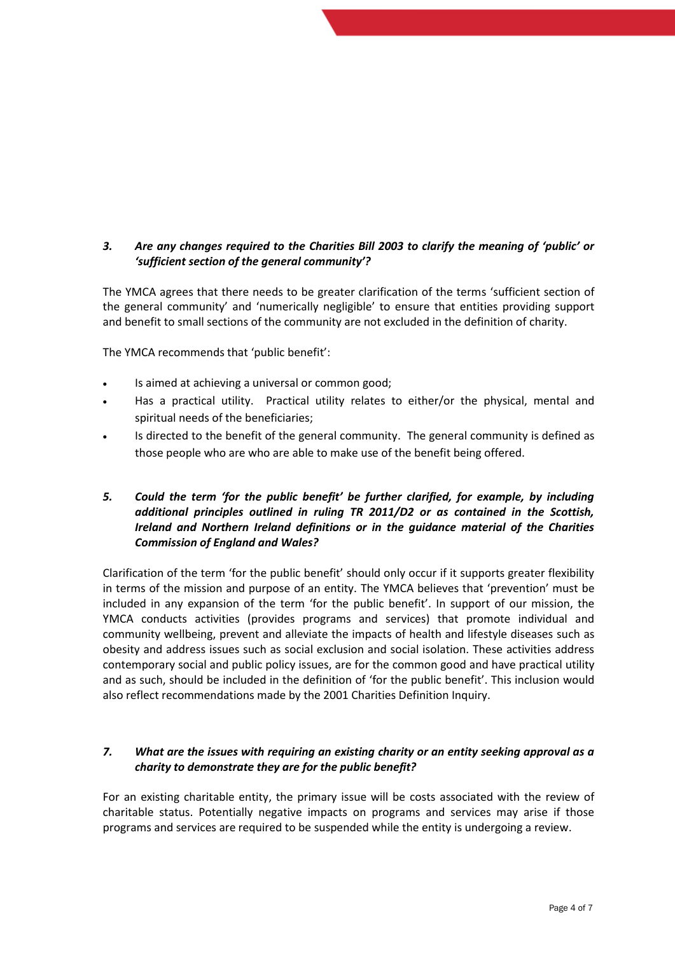# *3. Are any changes required to the Charities Bill 2003 to clarify the meaning of 'public' or 'sufficient section of the general community'?*

The YMCA agrees that there needs to be greater clarification of the terms 'sufficient section of the general community' and 'numerically negligible' to ensure that entities providing support and benefit to small sections of the community are not excluded in the definition of charity.

The YMCA recommends that 'public benefit':

- Is aimed at achieving a universal or common good;
- Has a practical utility. Practical utility relates to either/or the physical, mental and spiritual needs of the beneficiaries;
- Is directed to the benefit of the general community. The general community is defined as those people who are who are able to make use of the benefit being offered.

## *5. Could the term 'for the public benefit' be further clarified, for example, by including additional principles outlined in ruling TR 2011/D2 or as contained in the Scottish, Ireland and Northern Ireland definitions or in the guidance material of the Charities Commission of England and Wales?*

Clarification of the term 'for the public benefit' should only occur if it supports greater flexibility in terms of the mission and purpose of an entity. The YMCA believes that 'prevention' must be included in any expansion of the term 'for the public benefit'. In support of our mission, the YMCA conducts activities (provides programs and services) that promote individual and community wellbeing, prevent and alleviate the impacts of health and lifestyle diseases such as obesity and address issues such as social exclusion and social isolation. These activities address contemporary social and public policy issues, are for the common good and have practical utility and as such, should be included in the definition of 'for the public benefit'. This inclusion would also reflect recommendations made by the 2001 Charities Definition Inquiry.

### *7. What are the issues with requiring an existing charity or an entity seeking approval as a charity to demonstrate they are for the public benefit?*

For an existing charitable entity, the primary issue will be costs associated with the review of charitable status. Potentially negative impacts on programs and services may arise if those programs and services are required to be suspended while the entity is undergoing a review.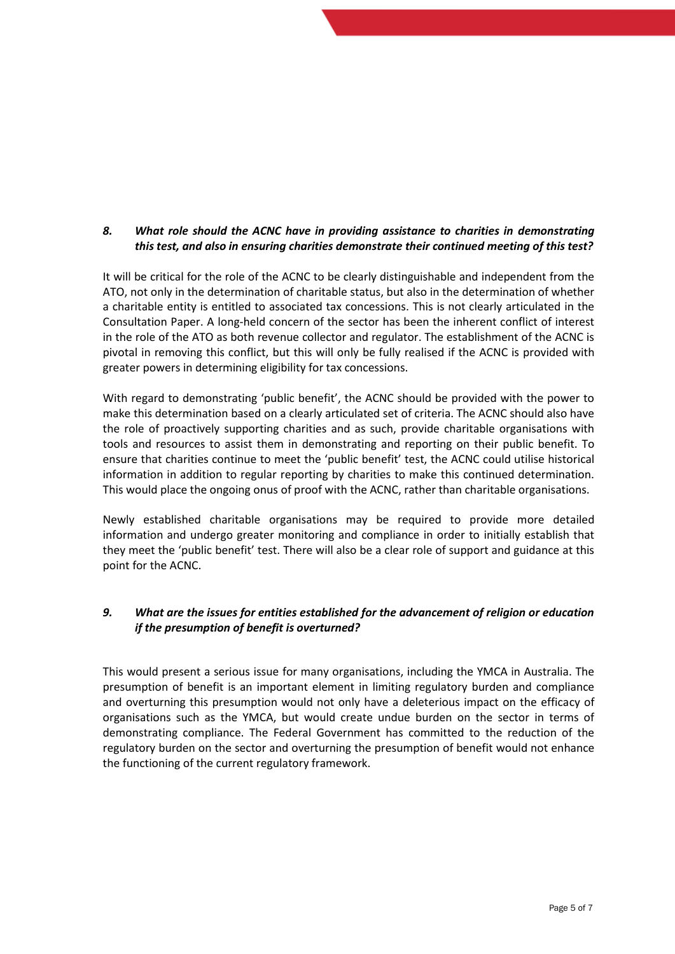# *8. What role should the ACNC have in providing assistance to charities in demonstrating this test, and also in ensuring charities demonstrate their continued meeting of this test?*

It will be critical for the role of the ACNC to be clearly distinguishable and independent from the ATO, not only in the determination of charitable status, but also in the determination of whether a charitable entity is entitled to associated tax concessions. This is not clearly articulated in the Consultation Paper. A long-held concern of the sector has been the inherent conflict of interest in the role of the ATO as both revenue collector and regulator. The establishment of the ACNC is pivotal in removing this conflict, but this will only be fully realised if the ACNC is provided with greater powers in determining eligibility for tax concessions.

With regard to demonstrating 'public benefit', the ACNC should be provided with the power to make this determination based on a clearly articulated set of criteria. The ACNC should also have the role of proactively supporting charities and as such, provide charitable organisations with tools and resources to assist them in demonstrating and reporting on their public benefit. To ensure that charities continue to meet the 'public benefit' test, the ACNC could utilise historical information in addition to regular reporting by charities to make this continued determination. This would place the ongoing onus of proof with the ACNC, rather than charitable organisations.

Newly established charitable organisations may be required to provide more detailed information and undergo greater monitoring and compliance in order to initially establish that they meet the 'public benefit' test. There will also be a clear role of support and guidance at this point for the ACNC.

# *9. What are the issues for entities established for the advancement of religion or education if the presumption of benefit is overturned?*

This would present a serious issue for many organisations, including the YMCA in Australia. The presumption of benefit is an important element in limiting regulatory burden and compliance and overturning this presumption would not only have a deleterious impact on the efficacy of organisations such as the YMCA, but would create undue burden on the sector in terms of demonstrating compliance. The Federal Government has committed to the reduction of the regulatory burden on the sector and overturning the presumption of benefit would not enhance the functioning of the current regulatory framework.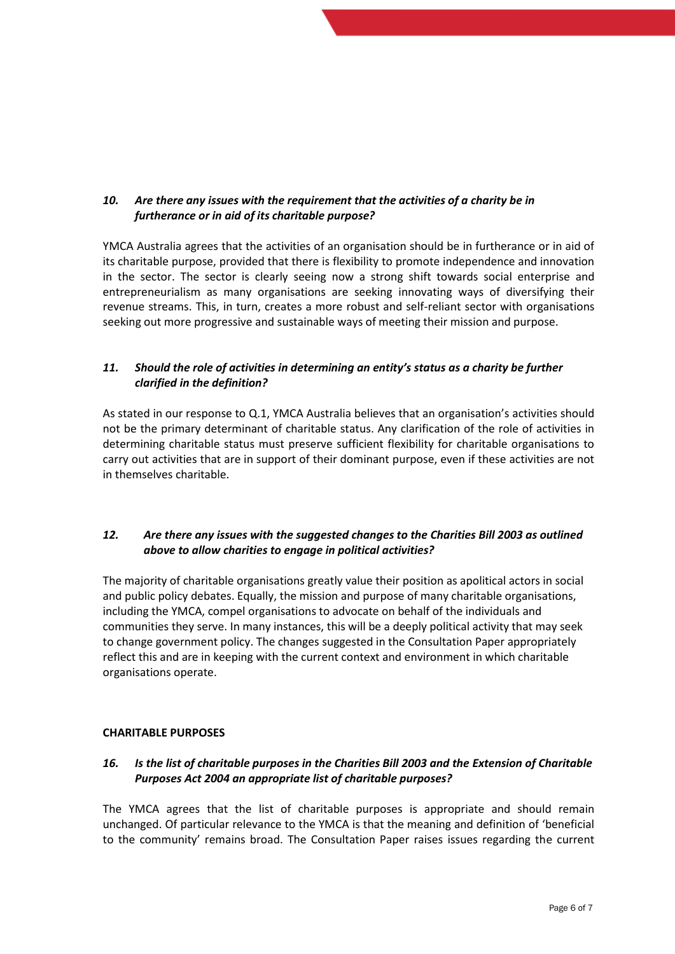# *10. Are there any issues with the requirement that the activities of a charity be in furtherance or in aid of its charitable purpose?*

YMCA Australia agrees that the activities of an organisation should be in furtherance or in aid of its charitable purpose, provided that there is flexibility to promote independence and innovation in the sector. The sector is clearly seeing now a strong shift towards social enterprise and entrepreneurialism as many organisations are seeking innovating ways of diversifying their revenue streams. This, in turn, creates a more robust and self-reliant sector with organisations seeking out more progressive and sustainable ways of meeting their mission and purpose.

## *11. Should the role of activities in determining an entity's status as a charity be further clarified in the definition?*

As stated in our response to Q.1, YMCA Australia believes that an organisation's activities should not be the primary determinant of charitable status. Any clarification of the role of activities in determining charitable status must preserve sufficient flexibility for charitable organisations to carry out activities that are in support of their dominant purpose, even if these activities are not in themselves charitable.

## *12. Are there any issues with the suggested changes to the Charities Bill 2003 as outlined above to allow charities to engage in political activities?*

The majority of charitable organisations greatly value their position as apolitical actors in social and public policy debates. Equally, the mission and purpose of many charitable organisations, including the YMCA, compel organisations to advocate on behalf of the individuals and communities they serve. In many instances, this will be a deeply political activity that may seek to change government policy. The changes suggested in the Consultation Paper appropriately reflect this and are in keeping with the current context and environment in which charitable organisations operate.

## **CHARITABLE PURPOSES**

### *16. Is the list of charitable purposes in the Charities Bill 2003 and the Extension of Charitable Purposes Act 2004 an appropriate list of charitable purposes?*

The YMCA agrees that the list of charitable purposes is appropriate and should remain unchanged. Of particular relevance to the YMCA is that the meaning and definition of 'beneficial to the community' remains broad. The Consultation Paper raises issues regarding the current